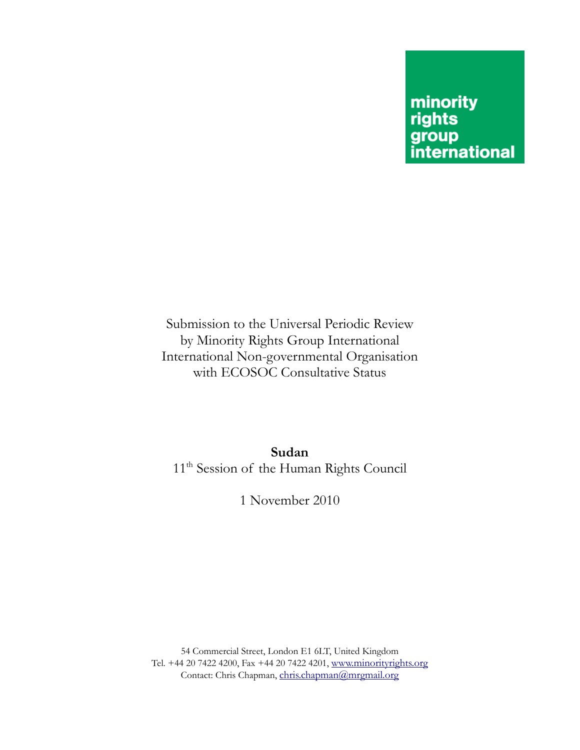## minority rights group<br>international

Submission to the Universal Periodic Review by Minority Rights Group International International Non-governmental Organisation with ECOSOC Consultative Status

**Sudan**  11<sup>th</sup> Session of the Human Rights Council

1 November 2010

54 Commercial Street, London E1 6LT, United Kingdom Tel. +44 20 7422 4200, Fax +44 20 7422 4201, www.minorityrights.org Contact: Chris Chapman, chris.chapman@mrgmail.org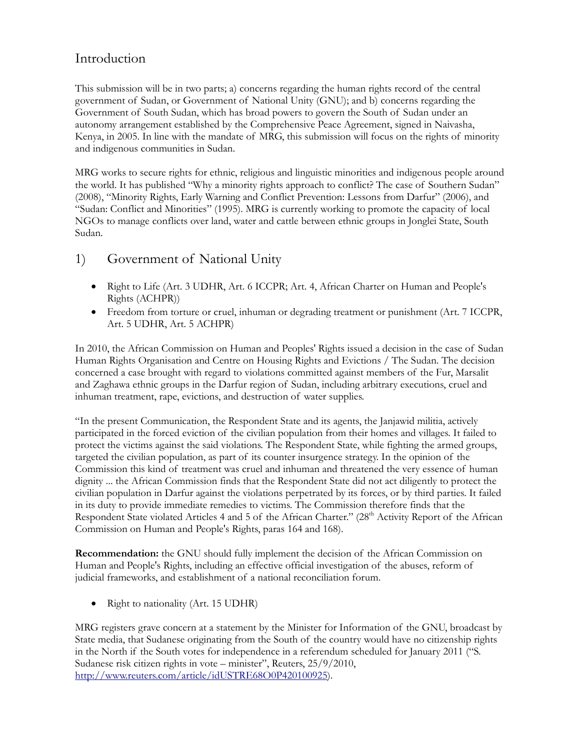## Introduction

This submission will be in two parts; a) concerns regarding the human rights record of the central government of Sudan, or Government of National Unity (GNU); and b) concerns regarding the Government of South Sudan, which has broad powers to govern the South of Sudan under an autonomy arrangement established by the Comprehensive Peace Agreement, signed in Naivasha, Kenya, in 2005. In line with the mandate of MRG, this submission will focus on the rights of minority and indigenous communities in Sudan.

MRG works to secure rights for ethnic, religious and linguistic minorities and indigenous people around the world. It has published "Why a minority rights approach to conflict? The case of Southern Sudan" (2008), "Minority Rights, Early Warning and Conflict Prevention: Lessons from Darfur" (2006), and "Sudan: Conflict and Minorities" (1995). MRG is currently working to promote the capacity of local NGOs to manage conflicts over land, water and cattle between ethnic groups in Jonglei State, South Sudan.

## 1) Government of National Unity

- Right to Life (Art. 3 UDHR, Art. 6 ICCPR; Art. 4, African Charter on Human and People's Rights (ACHPR))
- Freedom from torture or cruel, inhuman or degrading treatment or punishment (Art. 7 ICCPR, Art. 5 UDHR, Art. 5 ACHPR)

In 2010, the African Commission on Human and Peoples' Rights issued a decision in the case of Sudan Human Rights Organisation and Centre on Housing Rights and Evictions / The Sudan. The decision concerned a case brought with regard to violations committed against members of the Fur, Marsalit and Zaghawa ethnic groups in the Darfur region of Sudan, including arbitrary executions, cruel and inhuman treatment, rape, evictions, and destruction of water supplies.

"In the present Communication, the Respondent State and its agents, the Janjawid militia, actively participated in the forced eviction of the civilian population from their homes and villages. It failed to protect the victims against the said violations. The Respondent State, while fighting the armed groups, targeted the civilian population, as part of its counter insurgence strategy. In the opinion of the Commission this kind of treatment was cruel and inhuman and threatened the very essence of human dignity ... the African Commission finds that the Respondent State did not act diligently to protect the civilian population in Darfur against the violations perpetrated by its forces, or by third parties. It failed in its duty to provide immediate remedies to victims. The Commission therefore finds that the Respondent State violated Articles 4 and 5 of the African Charter." (28<sup>th</sup> Activity Report of the African Commission on Human and People's Rights, paras 164 and 168).

**Recommendation:** the GNU should fully implement the decision of the African Commission on Human and People's Rights, including an effective official investigation of the abuses, reform of judicial frameworks, and establishment of a national reconciliation forum.

• Right to nationality (Art. 15 UDHR)

MRG registers grave concern at a statement by the Minister for Information of the GNU, broadcast by State media, that Sudanese originating from the South of the country would have no citizenship rights in the North if the South votes for independence in a referendum scheduled for January 2011 ("S. Sudanese risk citizen rights in vote – minister", Reuters, 25/9/2010, http://www.reuters.com/article/idUSTRE68O0P420100925).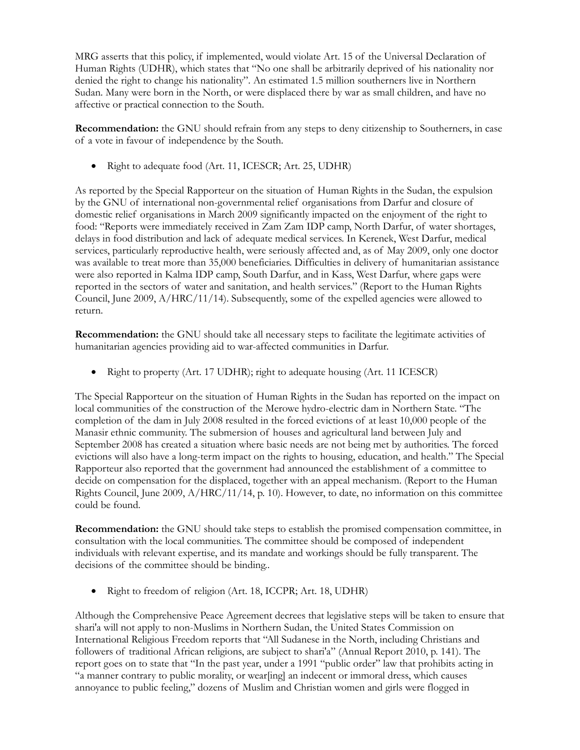MRG asserts that this policy, if implemented, would violate Art. 15 of the Universal Declaration of Human Rights (UDHR), which states that "No one shall be arbitrarily deprived of his nationality nor denied the right to change his nationality". An estimated 1.5 million southerners live in Northern Sudan. Many were born in the North, or were displaced there by war as small children, and have no affective or practical connection to the South.

**Recommendation:** the GNU should refrain from any steps to deny citizenship to Southerners, in case of a vote in favour of independence by the South.

• Right to adequate food (Art. 11, ICESCR; Art. 25, UDHR)

As reported by the Special Rapporteur on the situation of Human Rights in the Sudan, the expulsion by the GNU of international non-governmental relief organisations from Darfur and closure of domestic relief organisations in March 2009 significantly impacted on the enjoyment of the right to food: "Reports were immediately received in Zam Zam IDP camp, North Darfur, of water shortages, delays in food distribution and lack of adequate medical services. In Kerenek, West Darfur, medical services, particularly reproductive health, were seriously affected and, as of May 2009, only one doctor was available to treat more than 35,000 beneficiaries. Difficulties in delivery of humanitarian assistance were also reported in Kalma IDP camp, South Darfur, and in Kass, West Darfur, where gaps were reported in the sectors of water and sanitation, and health services." (Report to the Human Rights Council, June 2009,  $A/HRC/11/14$ ). Subsequently, some of the expelled agencies were allowed to return.

**Recommendation:** the GNU should take all necessary steps to facilitate the legitimate activities of humanitarian agencies providing aid to war-affected communities in Darfur.

• Right to property (Art. 17 UDHR); right to adequate housing (Art. 11 ICESCR)

The Special Rapporteur on the situation of Human Rights in the Sudan has reported on the impact on local communities of the construction of the Merowe hydro-electric dam in Northern State. "The completion of the dam in July 2008 resulted in the forced evictions of at least 10,000 people of the Manasir ethnic community. The submersion of houses and agricultural land between July and September 2008 has created a situation where basic needs are not being met by authorities. The forced evictions will also have a long-term impact on the rights to housing, education, and health." The Special Rapporteur also reported that the government had announced the establishment of a committee to decide on compensation for the displaced, together with an appeal mechanism. (Report to the Human Rights Council, June 2009, A/HRC/11/14, p. 10). However, to date, no information on this committee could be found.

**Recommendation:** the GNU should take steps to establish the promised compensation committee, in consultation with the local communities. The committee should be composed of independent individuals with relevant expertise, and its mandate and workings should be fully transparent. The decisions of the committee should be binding..

• Right to freedom of religion (Art. 18, ICCPR; Art. 18, UDHR)

Although the Comprehensive Peace Agreement decrees that legislative steps will be taken to ensure that shari'a will not apply to non-Muslims in Northern Sudan, the United States Commission on International Religious Freedom reports that "All Sudanese in the North, including Christians and followers of traditional African religions, are subject to shari'a" (Annual Report 2010, p. 141). The report goes on to state that "In the past year, under a 1991 "public order" law that prohibits acting in "a manner contrary to public morality, or wear[ing] an indecent or immoral dress, which causes annoyance to public feeling," dozens of Muslim and Christian women and girls were flogged in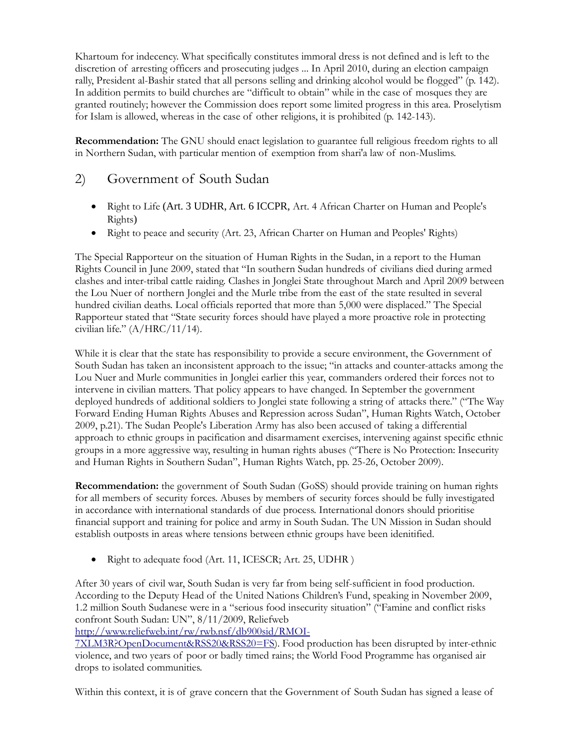Khartoum for indecency. What specifically constitutes immoral dress is not defined and is left to the discretion of arresting officers and prosecuting judges ... In April 2010, during an election campaign rally, President al-Bashir stated that all persons selling and drinking alcohol would be flogged" (p. 142). In addition permits to build churches are "difficult to obtain" while in the case of mosques they are granted routinely; however the Commission does report some limited progress in this area. Proselytism for Islam is allowed, whereas in the case of other religions, it is prohibited (p. 142-143).

**Recommendation:** The GNU should enact legislation to guarantee full religious freedom rights to all in Northern Sudan, with particular mention of exemption from shari'a law of non-Muslims.

## 2) Government of South Sudan

- Right to Life (Art. 3 UDHR, Art. 6 ICCPR, Art. 4 African Charter on Human and People's Rights)
- Right to peace and security (Art. 23, African Charter on Human and Peoples' Rights)

The Special Rapporteur on the situation of Human Rights in the Sudan, in a report to the Human Rights Council in June 2009, stated that "In southern Sudan hundreds of civilians died during armed clashes and inter-tribal cattle raiding. Clashes in Jonglei State throughout March and April 2009 between the Lou Nuer of northern Jonglei and the Murle tribe from the east of the state resulted in several hundred civilian deaths. Local officials reported that more than 5,000 were displaced." The Special Rapporteur stated that "State security forces should have played a more proactive role in protecting civilian life." (A/HRC/11/14).

While it is clear that the state has responsibility to provide a secure environment, the Government of South Sudan has taken an inconsistent approach to the issue; "in attacks and counter-attacks among the Lou Nuer and Murle communities in Jonglei earlier this year, commanders ordered their forces not to intervene in civilian matters. That policy appears to have changed. In September the government deployed hundreds of additional soldiers to Jonglei state following a string of attacks there." ("The Way Forward Ending Human Rights Abuses and Repression across Sudan", Human Rights Watch, October 2009, p.21). The Sudan People's Liberation Army has also been accused of taking a differential approach to ethnic groups in pacification and disarmament exercises, intervening against specific ethnic groups in a more aggressive way, resulting in human rights abuses ("There is No Protection: Insecurity and Human Rights in Southern Sudan", Human Rights Watch, pp. 25-26, October 2009).

**Recommendation:** the government of South Sudan (GoSS) should provide training on human rights for all members of security forces. Abuses by members of security forces should be fully investigated in accordance with international standards of due process. International donors should prioritise financial support and training for police and army in South Sudan. The UN Mission in Sudan should establish outposts in areas where tensions between ethnic groups have been idenitified.

• Right to adequate food (Art. 11, ICESCR; Art. 25, UDHR)

After 30 years of civil war, South Sudan is very far from being self-sufficient in food production. According to the Deputy Head of the United Nations Children's Fund, speaking in November 2009, 1.2 million South Sudanese were in a "serious food insecurity situation" ("Famine and conflict risks confront South Sudan: UN", 8/11/2009, Reliefweb

http://www.reliefweb.int/rw/rwb.nsf/db900sid/RMOI-

7XLM3R?OpenDocument&RSS20&RSS20=FS). Food production has been disrupted by inter-ethnic violence, and two years of poor or badly timed rains; the World Food Programme has organised air drops to isolated communities.

Within this context, it is of grave concern that the Government of South Sudan has signed a lease of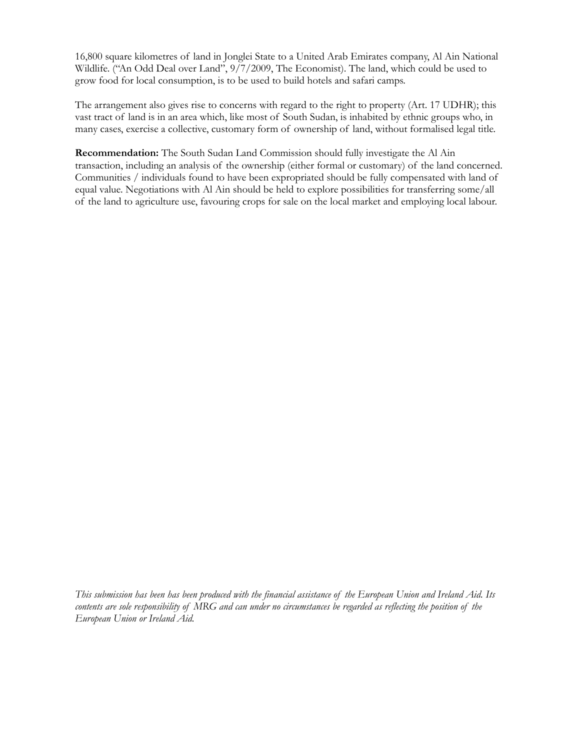16,800 square kilometres of land in Jonglei State to a United Arab Emirates company, Al Ain National Wildlife. ("An Odd Deal over Land", 9/7/2009, The Economist). The land, which could be used to grow food for local consumption, is to be used to build hotels and safari camps.

The arrangement also gives rise to concerns with regard to the right to property (Art. 17 UDHR); this vast tract of land is in an area which, like most of South Sudan, is inhabited by ethnic groups who, in many cases, exercise a collective, customary form of ownership of land, without formalised legal title.

**Recommendation:** The South Sudan Land Commission should fully investigate the Al Ain transaction, including an analysis of the ownership (either formal or customary) of the land concerned. Communities / individuals found to have been expropriated should be fully compensated with land of equal value. Negotiations with Al Ain should be held to explore possibilities for transferring some/all of the land to agriculture use, favouring crops for sale on the local market and employing local labour.

*This submission has been has been produced with the financial assistance of the European Union and Ireland Aid. Its*  contents are sole responsibility of MRG and can under no circumstances be regarded as reflecting the position of the *European Union or Ireland Aid.*